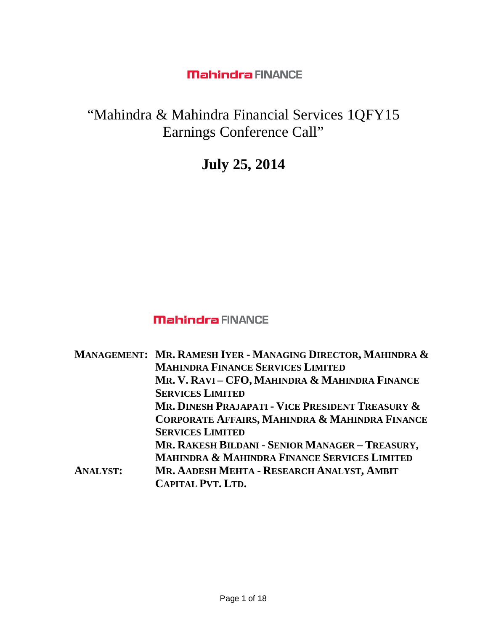# "Mahindra & Mahindra Financial Services 1QFY15 Earnings Conference Call"

# **July 25, 2014**

# **Mahindra FINANCE**

|                 | MANAGEMENT: MR. RAMESH IYER - MANAGING DIRECTOR, MAHINDRA & |
|-----------------|-------------------------------------------------------------|
|                 | <b>MAHINDRA FINANCE SERVICES LIMITED</b>                    |
|                 | MR. V. RAVI - CFO, MAHINDRA & MAHINDRA FINANCE              |
|                 | <b>SERVICES LIMITED</b>                                     |
|                 | MR. DINESH PRAJAPATI - VICE PRESIDENT TREASURY &            |
|                 | CORPORATE AFFAIRS, MAHINDRA & MAHINDRA FINANCE              |
|                 | <b>SERVICES LIMITED</b>                                     |
|                 | MR. RAKESH BILDANI - SENIOR MANAGER - TREASURY,             |
|                 | <b>MAHINDRA &amp; MAHINDRA FINANCE SERVICES LIMITED</b>     |
| <b>ANALYST:</b> | MR. AADESH MEHTA - RESEARCH ANALYST, AMBIT                  |
|                 | <b>CAPITAL PVT. LTD.</b>                                    |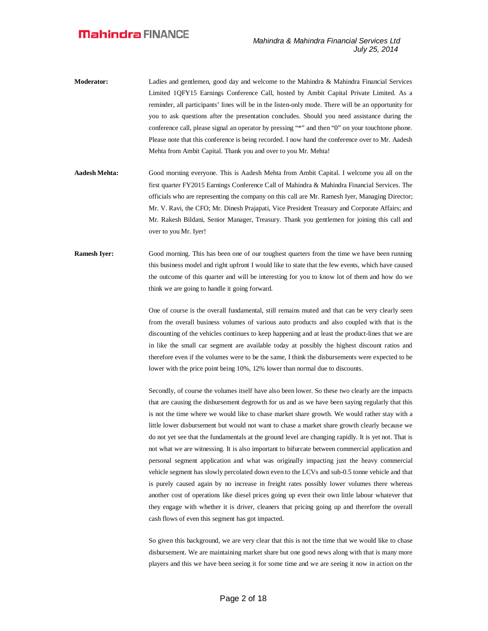- **Moderator:** Ladies and gentlemen, good day and welcome to the Mahindra & Mahindra Financial Services Limited 1QFY15 Earnings Conference Call, hosted by Ambit Capital Private Limited. As a reminder, all participants' lines will be in the listen-only mode. There will be an opportunity for you to ask questions after the presentation concludes. Should you need assistance during the conference call, please signal an operator by pressing "\*" and then "0" on your touchtone phone. Please note that this conference is being recorded. I now hand the conference over to Mr. Aadesh Mehta from Ambit Capital. Thank you and over to you Mr. Mehta!
- **Aadesh Mehta:** Good morning everyone. This is Aadesh Mehta from Ambit Capital. I welcome you all on the first quarter FY2015 Earnings Conference Call of Mahindra & Mahindra Financial Services. The officials who are representing the company on this call are Mr. Ramesh Iyer, Managing Director; Mr. V. Ravi, the CFO; Mr. Dinesh Prajapati, Vice President Treasury and Corporate Affairs; and Mr. Rakesh Bildani, Senior Manager, Treasury. Thank you gentlemen for joining this call and over to you Mr. Iyer!
- **Ramesh Iyer:** Good morning. This has been one of our toughest quarters from the time we have been running this business model and right upfront I would like to state that the few events, which have caused the outcome of this quarter and will be interesting for you to know lot of them and how do we think we are going to handle it going forward.

One of course is the overall fundamental, still remains muted and that can be very clearly seen from the overall business volumes of various auto products and also coupled with that is the discounting of the vehicles continues to keep happening and at least the product-lines that we are in like the small car segment are available today at possibly the highest discount ratios and therefore even if the volumes were to be the same, I think the disbursements were expected to be lower with the price point being 10%, 12% lower than normal due to discounts.

Secondly, of course the volumes itself have also been lower. So these two clearly are the impacts that are causing the disbursement degrowth for us and as we have been saying regularly that this is not the time where we would like to chase market share growth. We would rather stay with a little lower disbursement but would not want to chase a market share growth clearly because we do not yet see that the fundamentals at the ground level are changing rapidly. It is yet not. That is not what we are witnessing. It is also important to bifurcate between commercial application and personal segment application and what was originally impacting just the heavy commercial vehicle segment has slowly percolated down even to the LCVs and sub-0.5 tonne vehicle and that is purely caused again by no increase in freight rates possibly lower volumes there whereas another cost of operations like diesel prices going up even their own little labour whatever that they engage with whether it is driver, cleaners that pricing going up and therefore the overall cash flows of even this segment has got impacted.

So given this background, we are very clear that this is not the time that we would like to chase disbursement. We are maintaining market share but one good news along with that is many more players and this we have been seeing it for some time and we are seeing it now in action on the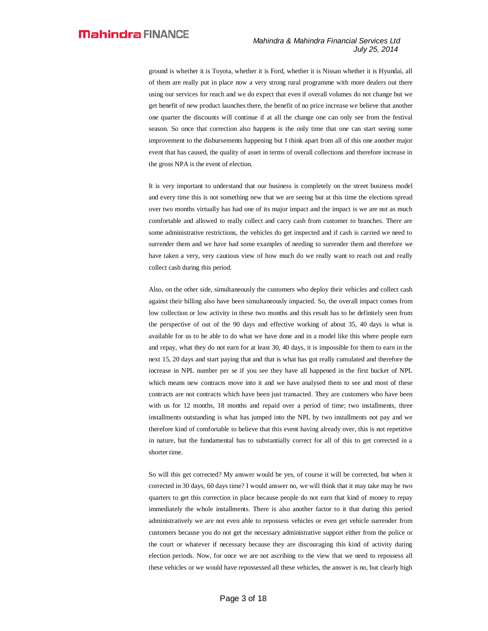ground is whether it is Toyota, whether it is Ford, whether it is Nissan whether it is Hyundai, all of them are really put in place now a very strong rural programme with more dealers out there using our services for reach and we do expect that even if overall volumes do not change but we get benefit of new product launches there, the benefit of no price increase we believe that another one quarter the discounts will continue if at all the change one can only see from the festival season. So once that correction also happens is the only time that one can start seeing some improvement to the disbursements happening but I think apart from all of this one another major event that has caused, the quality of asset in terms of overall collections and therefore increase in the gross NPA is the event of election.

It is very important to understand that our business is completely on the street business model and every time this is not something new that we are seeing but at this time the elections spread over two months virtually has had one of its major impact and the impact is we are not as much comfortable and allowed to really collect and carry cash from customer to branches. There are some administrative restrictions, the vehicles do get inspected and if cash is carried we need to surrender them and we have had some examples of needing to surrender them and therefore we have taken a very, very cautious view of how much do we really want to reach out and really collect cash during this period.

Also, on the other side, simultaneously the customers who deploy their vehicles and collect cash against their billing also have been simultaneously impacted. So, the overall impact comes from low collection or low activity in these two months and this result has to be definitely seen from the perspective of out of the 90 days and effective working of about 35, 40 days is what is available for us to be able to do what we have done and in a model like this where people earn and repay, what they do not earn for at least 30, 40 days, it is impossible for them to earn in the next 15, 20 days and start paying that and that is what has got really cumulated and therefore the increase in NPL number per se if you see they have all happened in the first bucket of NPL which means new contracts move into it and we have analysed them to see and most of these contracts are not contracts which have been just transacted. They are customers who have been with us for 12 months, 18 months and repaid over a period of time; two installments, three installments outstanding is what has jumped into the NPL by two installments not pay and we therefore kind of comfortable to believe that this event having already over, this is not repetitive in nature, but the fundamental has to substantially correct for all of this to get corrected in a shorter time.

So will this get corrected? My answer would be yes, of course it will be corrected, but when it corrected in 30 days, 60 days time? I would answer no, we will think that it may take may be two quarters to get this correction in place because people do not earn that kind of money to repay immediately the whole installments. There is also another factor to it that during this period administratively we are not even able to repossess vehicles or even get vehicle surrender from customers because you do not get the necessary administrative support either from the police or the court or whatever if necessary because they are discouraging this kind of activity during election periods. Now, for once we are not ascribing to the view that we need to repossess all these vehicles or we would have repossessed all these vehicles, the answer is no, but clearly high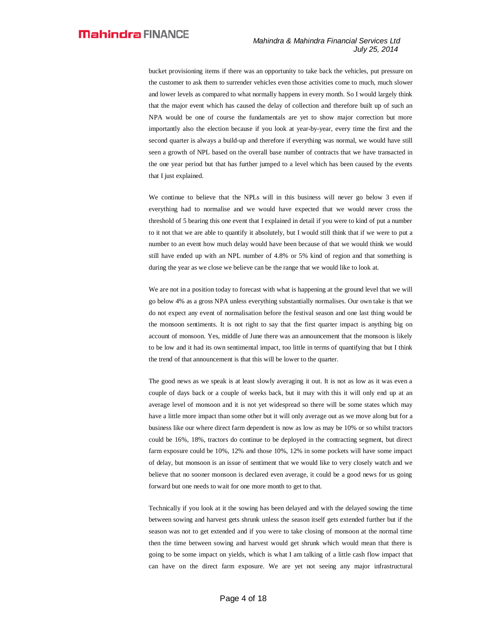bucket provisioning items if there was an opportunity to take back the vehicles, put pressure on the customer to ask them to surrender vehicles even those activities come to much, much slower and lower levels as compared to what normally happens in every month. So I would largely think that the major event which has caused the delay of collection and therefore built up of such an NPA would be one of course the fundamentals are yet to show major correction but more importantly also the election because if you look at year-by-year, every time the first and the second quarter is always a build-up and therefore if everything was normal, we would have still seen a growth of NPL based on the overall base number of contracts that we have transacted in the one year period but that has further jumped to a level which has been caused by the events that I just explained.

We continue to believe that the NPLs will in this business will never go below 3 even if everything had to normalise and we would have expected that we would never cross the threshold of 5 bearing this one event that I explained in detail if you were to kind of put a number to it not that we are able to quantify it absolutely, but I would still think that if we were to put a number to an event how much delay would have been because of that we would think we would still have ended up with an NPL number of 4.8% or 5% kind of region and that something is during the year as we close we believe can be the range that we would like to look at.

We are not in a position today to forecast with what is happening at the ground level that we will go below 4% as a gross NPA unless everything substantially normalises. Our own take is that we do not expect any event of normalisation before the festival season and one last thing would be the monsoon sentiments. It is not right to say that the first quarter impact is anything big on account of monsoon. Yes, middle of June there was an announcement that the monsoon is likely to be low and it had its own sentimental impact, too little in terms of quantifying that but I think the trend of that announcement is that this will be lower to the quarter.

The good news as we speak is at least slowly averaging it out. It is not as low as it was even a couple of days back or a couple of weeks back, but it may with this it will only end up at an average level of monsoon and it is not yet widespread so there will be some states which may have a little more impact than some other but it will only average out as we move along but for a business like our where direct farm dependent is now as low as may be 10% or so whilst tractors could be 16%, 18%, tractors do continue to be deployed in the contracting segment, but direct farm exposure could be 10%, 12% and those 10%, 12% in some pockets will have some impact of delay, but monsoon is an issue of sentiment that we would like to very closely watch and we believe that no sooner monsoon is declared even average, it could be a good news for us going forward but one needs to wait for one more month to get to that.

Technically if you look at it the sowing has been delayed and with the delayed sowing the time between sowing and harvest gets shrunk unless the season itself gets extended further but if the season was not to get extended and if you were to take closing of monsoon at the normal time then the time between sowing and harvest would get shrunk which would mean that there is going to be some impact on yields, which is what I am talking of a little cash flow impact that can have on the direct farm exposure. We are yet not seeing any major infrastructural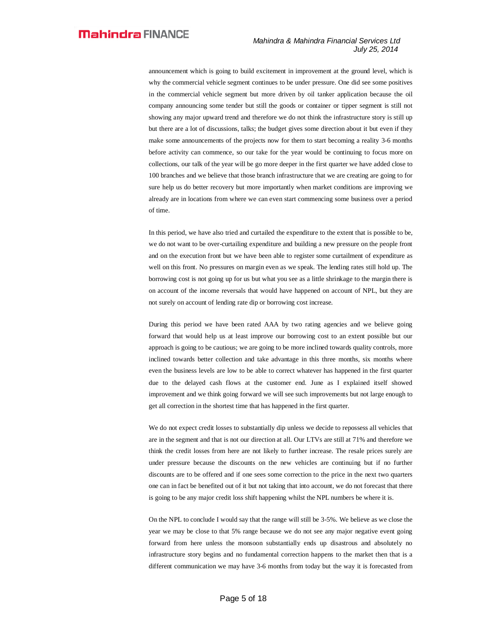announcement which is going to build excitement in improvement at the ground level, which is why the commercial vehicle segment continues to be under pressure. One did see some positives in the commercial vehicle segment but more driven by oil tanker application because the oil company announcing some tender but still the goods or container or tipper segment is still not showing any major upward trend and therefore we do not think the infrastructure story is still up but there are a lot of discussions, talks; the budget gives some direction about it but even if they make some announcements of the projects now for them to start becoming a reality 3-6 months before activity can commence, so our take for the year would be continuing to focus more on collections, our talk of the year will be go more deeper in the first quarter we have added close to 100 branches and we believe that those branch infrastructure that we are creating are going to for sure help us do better recovery but more importantly when market conditions are improving we already are in locations from where we can even start commencing some business over a period of time.

In this period, we have also tried and curtailed the expenditure to the extent that is possible to be, we do not want to be over-curtailing expenditure and building a new pressure on the people front and on the execution front but we have been able to register some curtailment of expenditure as well on this front. No pressures on margin even as we speak. The lending rates still hold up. The borrowing cost is not going up for us but what you see as a little shrinkage to the margin there is on account of the income reversals that would have happened on account of NPL, but they are not surely on account of lending rate dip or borrowing cost increase.

During this period we have been rated AAA by two rating agencies and we believe going forward that would help us at least improve our borrowing cost to an extent possible but our approach is going to be cautious; we are going to be more inclined towards quality controls, more inclined towards better collection and take advantage in this three months, six months where even the business levels are low to be able to correct whatever has happened in the first quarter due to the delayed cash flows at the customer end. June as I explained itself showed improvement and we think going forward we will see such improvements but not large enough to get all correction in the shortest time that has happened in the first quarter.

We do not expect credit losses to substantially dip unless we decide to repossess all vehicles that are in the segment and that is not our direction at all. Our LTVs are still at 71% and therefore we think the credit losses from here are not likely to further increase. The resale prices surely are under pressure because the discounts on the new vehicles are continuing but if no further discounts are to be offered and if one sees some correction to the price in the next two quarters one can in fact be benefited out of it but not taking that into account, we do not forecast that there is going to be any major credit loss shift happening whilst the NPL numbers be where it is.

On the NPL to conclude I would say that the range will still be 3-5%. We believe as we close the year we may be close to that 5% range because we do not see any major negative event going forward from here unless the monsoon substantially ends up disastrous and absolutely no infrastructure story begins and no fundamental correction happens to the market then that is a different communication we may have 3-6 months from today but the way it is forecasted from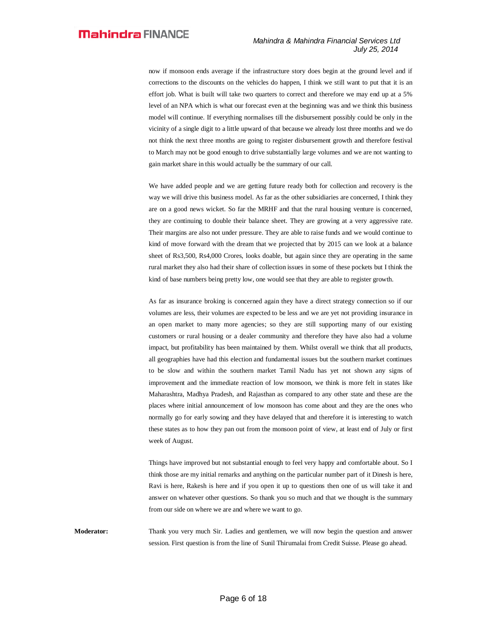now if monsoon ends average if the infrastructure story does begin at the ground level and if corrections to the discounts on the vehicles do happen, I think we still want to put that it is an effort job. What is built will take two quarters to correct and therefore we may end up at a 5% level of an NPA which is what our forecast even at the beginning was and we think this business model will continue. If everything normalises till the disbursement possibly could be only in the vicinity of a single digit to a little upward of that because we already lost three months and we do not think the next three months are going to register disbursement growth and therefore festival to March may not be good enough to drive substantially large volumes and we are not wanting to gain market share in this would actually be the summary of our call.

We have added people and we are getting future ready both for collection and recovery is the way we will drive this business model. As far as the other subsidiaries are concerned, I think they are on a good news wicket. So far the MRHF and that the rural housing venture is concerned, they are continuing to double their balance sheet. They are growing at a very aggressive rate. Their margins are also not under pressure. They are able to raise funds and we would continue to kind of move forward with the dream that we projected that by 2015 can we look at a balance sheet of Rs3,500, Rs4,000 Crores, looks doable, but again since they are operating in the same rural market they also had their share of collection issues in some of these pockets but I think the kind of base numbers being pretty low, one would see that they are able to register growth.

As far as insurance broking is concerned again they have a direct strategy connection so if our volumes are less, their volumes are expected to be less and we are yet not providing insurance in an open market to many more agencies; so they are still supporting many of our existing customers or rural housing or a dealer community and therefore they have also had a volume impact, but profitability has been maintained by them. Whilst overall we think that all products, all geographies have had this election and fundamental issues but the southern market continues to be slow and within the southern market Tamil Nadu has yet not shown any signs of improvement and the immediate reaction of low monsoon, we think is more felt in states like Maharashtra, Madhya Pradesh, and Rajasthan as compared to any other state and these are the places where initial announcement of low monsoon has come about and they are the ones who normally go for early sowing and they have delayed that and therefore it is interesting to watch these states as to how they pan out from the monsoon point of view, at least end of July or first week of August.

Things have improved but not substantial enough to feel very happy and comfortable about. So I think those are my initial remarks and anything on the particular number part of it Dinesh is here, Ravi is here, Rakesh is here and if you open it up to questions then one of us will take it and answer on whatever other questions. So thank you so much and that we thought is the summary from our side on where we are and where we want to go.

**Moderator:** Thank you very much Sir. Ladies and gentlemen, we will now begin the question and answer session. First question is from the line of Sunil Thirumalai from Credit Suisse. Please go ahead.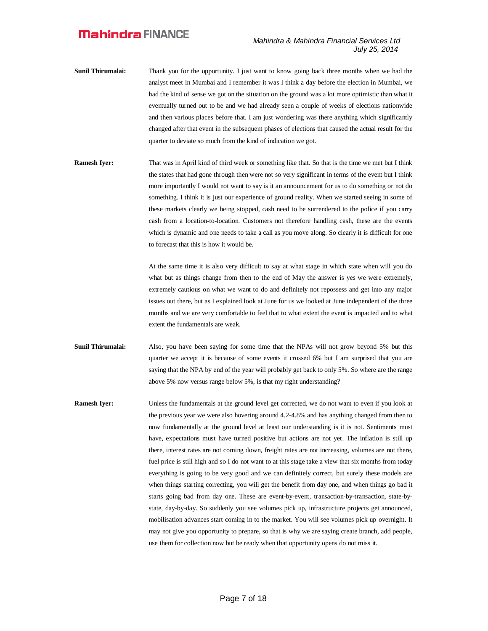- **Sunil Thirumalai:** Thank you for the opportunity. I just want to know going back three months when we had the analyst meet in Mumbai and I remember it was I think a day before the election in Mumbai, we had the kind of sense we got on the situation on the ground was a lot more optimistic than what it eventually turned out to be and we had already seen a couple of weeks of elections nationwide and then various places before that. I am just wondering was there anything which significantly changed after that event in the subsequent phases of elections that caused the actual result for the quarter to deviate so much from the kind of indication we got.
- **Ramesh Iyer:** That was in April kind of third week or something like that. So that is the time we met but I think the states that had gone through then were not so very significant in terms of the event but I think more importantly I would not want to say is it an announcement for us to do something or not do something. I think it is just our experience of ground reality. When we started seeing in some of these markets clearly we being stopped, cash need to be surrendered to the police if you carry cash from a location-to-location. Customers not therefore handling cash, these are the events which is dynamic and one needs to take a call as you move along. So clearly it is difficult for one to forecast that this is how it would be.

At the same time it is also very difficult to say at what stage in which state when will you do what but as things change from then to the end of May the answer is yes we were extremely, extremely cautious on what we want to do and definitely not repossess and get into any major issues out there, but as I explained look at June for us we looked at June independent of the three months and we are very comfortable to feel that to what extent the event is impacted and to what extent the fundamentals are weak.

- **Sunil Thirumalai:** Also, you have been saying for some time that the NPAs will not grow beyond 5% but this quarter we accept it is because of some events it crossed 6% but I am surprised that you are saying that the NPA by end of the year will probably get back to only 5%. So where are the range above 5% now versus range below 5%, is that my right understanding?
- **Ramesh Iyer:** Unless the fundamentals at the ground level get corrected, we do not want to even if you look at the previous year we were also hovering around 4.2-4.8% and has anything changed from then to now fundamentally at the ground level at least our understanding is it is not. Sentiments must have, expectations must have turned positive but actions are not yet. The inflation is still up there, interest rates are not coming down, freight rates are not increasing, volumes are not there, fuel price is still high and so I do not want to at this stage take a view that six months from today everything is going to be very good and we can definitely correct, but surely these models are when things starting correcting, you will get the benefit from day one, and when things go bad it starts going bad from day one. These are event-by-event, transaction-by-transaction, state-bystate, day-by-day. So suddenly you see volumes pick up, infrastructure projects get announced, mobilisation advances start coming in to the market. You will see volumes pick up overnight. It may not give you opportunity to prepare, so that is why we are saying create branch, add people, use them for collection now but be ready when that opportunity opens do not miss it.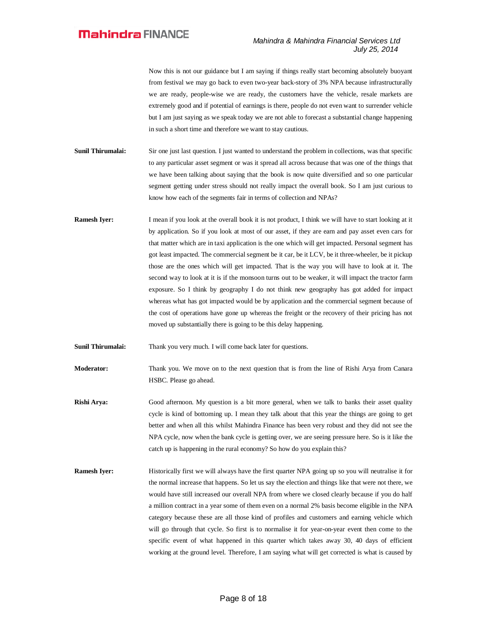Now this is not our guidance but I am saying if things really start becoming absolutely buoyant from festival we may go back to even two-year back-story of 3% NPA because infrastructurally we are ready, people-wise we are ready, the customers have the vehicle, resale markets are extremely good and if potential of earnings is there, people do not even want to surrender vehicle but I am just saying as we speak today we are not able to forecast a substantial change happening in such a short time and therefore we want to stay cautious.

- **Sunil Thirumalai:** Sir one just last question. I just wanted to understand the problem in collections, was that specific to any particular asset segment or was it spread all across because that was one of the things that we have been talking about saying that the book is now quite diversified and so one particular segment getting under stress should not really impact the overall book. So I am just curious to know how each of the segments fair in terms of collection and NPAs?
- **Ramesh Iyer:** I mean if you look at the overall book it is not product, I think we will have to start looking at it by application. So if you look at most of our asset, if they are earn and pay asset even cars for that matter which are in taxi application is the one which will get impacted. Personal segment has got least impacted. The commercial segment be it car, be it LCV, be it three-wheeler, be it pickup those are the ones which will get impacted. That is the way you will have to look at it. The second way to look at it is if the monsoon turns out to be weaker, it will impact the tractor farm exposure. So I think by geography I do not think new geography has got added for impact whereas what has got impacted would be by application and the commercial segment because of the cost of operations have gone up whereas the freight or the recovery of their pricing has not moved up substantially there is going to be this delay happening.

**Sunil Thirumalai:** Thank you very much. I will come back later for questions.

**Moderator:** Thank you. We move on to the next question that is from the line of Rishi Arya from Canara HSBC. Please go ahead.

- **Rishi Arya:** Good afternoon. My question is a bit more general, when we talk to banks their asset quality cycle is kind of bottoming up. I mean they talk about that this year the things are going to get better and when all this whilst Mahindra Finance has been very robust and they did not see the NPA cycle, now when the bank cycle is getting over, we are seeing pressure here. So is it like the catch up is happening in the rural economy? So how do you explain this?
- **Ramesh Iyer:** Historically first we will always have the first quarter NPA going up so you will neutralise it for the normal increase that happens. So let us say the election and things like that were not there, we would have still increased our overall NPA from where we closed clearly because if you do half a million contract in a year some of them even on a normal 2% basis become eligible in the NPA category because these are all those kind of profiles and customers and earning vehicle which will go through that cycle. So first is to normalise it for year-on-year event then come to the specific event of what happened in this quarter which takes away 30, 40 days of efficient working at the ground level. Therefore, I am saying what will get corrected is what is caused by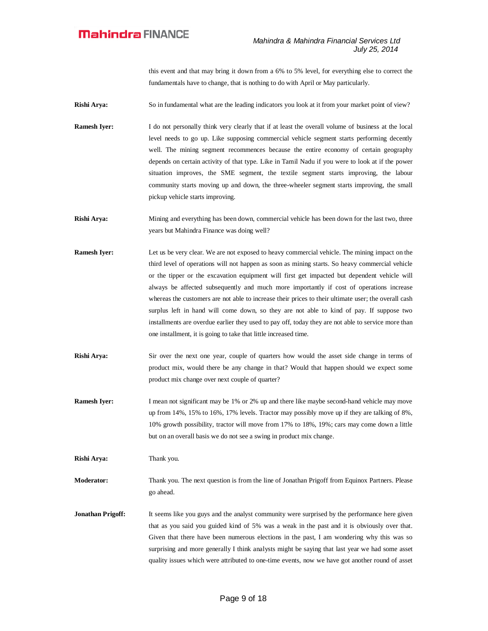this event and that may bring it down from a 6% to 5% level, for everything else to correct the fundamentals have to change, that is nothing to do with April or May particularly.

**Rishi Arya:** So in fundamental what are the leading indicators you look at it from your market point of view?

**Ramesh Iyer:** I do not personally think very clearly that if at least the overall volume of business at the local level needs to go up. Like supposing commercial vehicle segment starts performing decently well. The mining segment recommences because the entire economy of certain geography depends on certain activity of that type. Like in Tamil Nadu if you were to look at if the power situation improves, the SME segment, the textile segment starts improving, the labour community starts moving up and down, the three-wheeler segment starts improving, the small pickup vehicle starts improving.

**Rishi Arya:** Mining and everything has been down, commercial vehicle has been down for the last two, three years but Mahindra Finance was doing well?

- **Ramesh Iyer:** Let us be very clear. We are not exposed to heavy commercial vehicle. The mining impact on the third level of operations will not happen as soon as mining starts. So heavy commercial vehicle or the tipper or the excavation equipment will first get impacted but dependent vehicle will always be affected subsequently and much more importantly if cost of operations increase whereas the customers are not able to increase their prices to their ultimate user; the overall cash surplus left in hand will come down, so they are not able to kind of pay. If suppose two installments are overdue earlier they used to pay off, today they are not able to service more than one installment, it is going to take that little increased time.
- **Rishi Arya:** Sir over the next one year, couple of quarters how would the asset side change in terms of product mix, would there be any change in that? Would that happen should we expect some product mix change over next couple of quarter?
- **Ramesh Iyer:** I mean not significant may be 1% or 2% up and there like maybe second-hand vehicle may move up from 14%, 15% to 16%, 17% levels. Tractor may possibly move up if they are talking of 8%, 10% growth possibility, tractor will move from 17% to 18%, 19%; cars may come down a little but on an overall basis we do not see a swing in product mix change.

**Rishi Arya:** Thank you.

**Moderator:** Thank you. The next question is from the line of Jonathan Prigoff from Equinox Partners. Please go ahead.

**Jonathan Prigoff:** It seems like you guys and the analyst community were surprised by the performance here given that as you said you guided kind of 5% was a weak in the past and it is obviously over that. Given that there have been numerous elections in the past, I am wondering why this was so surprising and more generally I think analysts might be saying that last year we had some asset quality issues which were attributed to one-time events, now we have got another round of asset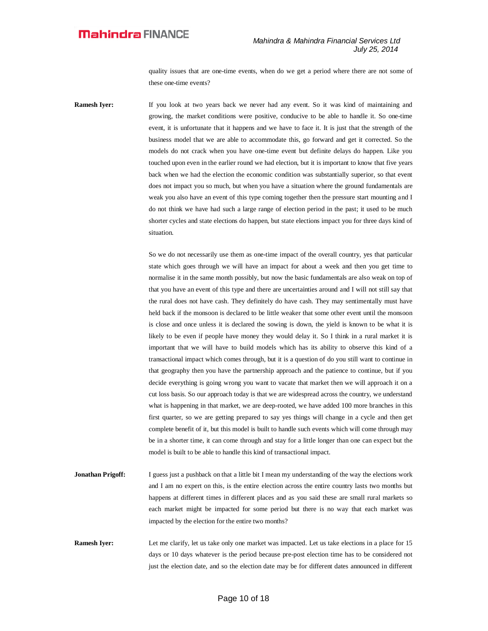quality issues that are one-time events, when do we get a period where there are not some of these one-time events?

**Ramesh Iyer:** If you look at two years back we never had any event. So it was kind of maintaining and growing, the market conditions were positive, conducive to be able to handle it. So one-time event, it is unfortunate that it happens and we have to face it. It is just that the strength of the business model that we are able to accommodate this, go forward and get it corrected. So the models do not crack when you have one-time event but definite delays do happen. Like you touched upon even in the earlier round we had election, but it is important to know that five years back when we had the election the economic condition was substantially superior, so that event does not impact you so much, but when you have a situation where the ground fundamentals are weak you also have an event of this type coming together then the pressure start mounting and I do not think we have had such a large range of election period in the past; it used to be much shorter cycles and state elections do happen, but state elections impact you for three days kind of situation.

> So we do not necessarily use them as one-time impact of the overall country, yes that particular state which goes through we will have an impact for about a week and then you get time to normalise it in the same month possibly, but now the basic fundamentals are also weak on top of that you have an event of this type and there are uncertainties around and I will not still say that the rural does not have cash. They definitely do have cash. They may sentimentally must have held back if the monsoon is declared to be little weaker that some other event until the monsoon is close and once unless it is declared the sowing is down, the yield is known to be what it is likely to be even if people have money they would delay it. So I think in a rural market it is important that we will have to build models which has its ability to observe this kind of a transactional impact which comes through, but it is a question of do you still want to continue in that geography then you have the partnership approach and the patience to continue, but if you decide everything is going wrong you want to vacate that market then we will approach it on a cut loss basis. So our approach today is that we are widespread across the country, we understand what is happening in that market, we are deep-rooted, we have added 100 more branches in this first quarter, so we are getting prepared to say yes things will change in a cycle and then get complete benefit of it, but this model is built to handle such events which will come through may be in a shorter time, it can come through and stay for a little longer than one can expect but the model is built to be able to handle this kind of transactional impact.

- **Jonathan Prigoff:** I guess just a pushback on that a little bit I mean my understanding of the way the elections work and I am no expert on this, is the entire election across the entire country lasts two months but happens at different times in different places and as you said these are small rural markets so each market might be impacted for some period but there is no way that each market was impacted by the election for the entire two months?
- **Ramesh Iyer:** Let me clarify, let us take only one market was impacted. Let us take elections in a place for 15 days or 10 days whatever is the period because pre-post election time has to be considered not just the election date, and so the election date may be for different dates announced in different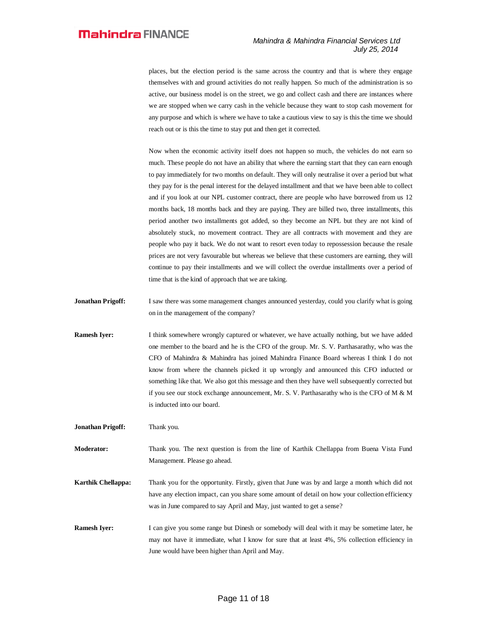places, but the election period is the same across the country and that is where they engage themselves with and ground activities do not really happen. So much of the administration is so active, our business model is on the street, we go and collect cash and there are instances where we are stopped when we carry cash in the vehicle because they want to stop cash movement for any purpose and which is where we have to take a cautious view to say is this the time we should reach out or is this the time to stay put and then get it corrected.

Now when the economic activity itself does not happen so much, the vehicles do not earn so much. These people do not have an ability that where the earning start that they can earn enough to pay immediately for two months on default. They will only neutralise it over a period but what they pay for is the penal interest for the delayed installment and that we have been able to collect and if you look at our NPL customer contract, there are people who have borrowed from us 12 months back, 18 months back and they are paying. They are billed two, three installments, this period another two installments got added, so they become an NPL but they are not kind of absolutely stuck, no movement contract. They are all contracts with movement and they are people who pay it back. We do not want to resort even today to repossession because the resale prices are not very favourable but whereas we believe that these customers are earning, they will continue to pay their installments and we will collect the overdue installments over a period of time that is the kind of approach that we are taking.

- **Jonathan Prigoff:** I saw there was some management changes announced yesterday, could you clarify what is going on in the management of the company?
- **Ramesh Iyer:** I think somewhere wrongly captured or whatever, we have actually nothing, but we have added one member to the board and he is the CFO of the group. Mr. S. V. Parthasarathy, who was the CFO of Mahindra & Mahindra has joined Mahindra Finance Board whereas I think I do not know from where the channels picked it up wrongly and announced this CFO inducted or something like that. We also got this message and then they have well subsequently corrected but if you see our stock exchange announcement, Mr. S. V. Parthasarathy who is the CFO of M & M is inducted into our board.
- **Jonathan Prigoff:** Thank you.

**Moderator:** Thank you. The next question is from the line of Karthik Chellappa from Buena Vista Fund Management. Please go ahead.

- **Karthik Chellappa:** Thank you for the opportunity. Firstly, given that June was by and large a month which did not have any election impact, can you share some amount of detail on how your collection efficiency was in June compared to say April and May, just wanted to get a sense?
- **Ramesh Iver:** I can give you some range but Dinesh or somebody will deal with it may be sometime later, he may not have it immediate, what I know for sure that at least 4%, 5% collection efficiency in June would have been higher than April and May.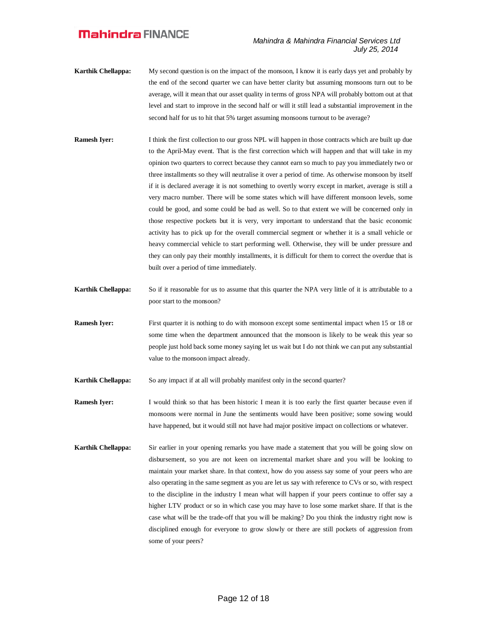- **Karthik Chellappa:** My second question is on the impact of the monsoon, I know it is early days yet and probably by the end of the second quarter we can have better clarity but assuming monsoons turn out to be average, will it mean that our asset quality in terms of gross NPA will probably bottom out at that level and start to improve in the second half or will it still lead a substantial improvement in the second half for us to hit that 5% target assuming monsoons turnout to be average?
- **Ramesh Iyer:** I think the first collection to our gross NPL will happen in those contracts which are built up due to the April-May event. That is the first correction which will happen and that will take in my opinion two quarters to correct because they cannot earn so much to pay you immediately two or three installments so they will neutralise it over a period of time. As otherwise monsoon by itself if it is declared average it is not something to overtly worry except in market, average is still a very macro number. There will be some states which will have different monsoon levels, some could be good, and some could be bad as well. So to that extent we will be concerned only in those respective pockets but it is very, very important to understand that the basic economic activity has to pick up for the overall commercial segment or whether it is a small vehicle or heavy commercial vehicle to start performing well. Otherwise, they will be under pressure and they can only pay their monthly installments, it is difficult for them to correct the overdue that is built over a period of time immediately.
- **Karthik Chellappa:** So if it reasonable for us to assume that this quarter the NPA very little of it is attributable to a poor start to the monsoon?
- **Ramesh Iyer:** First quarter it is nothing to do with monsoon except some sentimental impact when 15 or 18 or some time when the department announced that the monsoon is likely to be weak this year so people just hold back some money saying let us wait but I do not think we can put any substantial value to the monsoon impact already.
- **Karthik Chellappa:** So any impact if at all will probably manifest only in the second quarter?
- **Ramesh Iyer:** I would think so that has been historic I mean it is too early the first quarter because even if monsoons were normal in June the sentiments would have been positive; some sowing would have happened, but it would still not have had major positive impact on collections or whatever.
- **Karthik Chellappa:** Sir earlier in your opening remarks you have made a statement that you will be going slow on disbursement, so you are not keen on incremental market share and you will be looking to maintain your market share. In that context, how do you assess say some of your peers who are also operating in the same segment as you are let us say with reference to CVs or so, with respect to the discipline in the industry I mean what will happen if your peers continue to offer say a higher LTV product or so in which case you may have to lose some market share. If that is the case what will be the trade-off that you will be making? Do you think the industry right now is disciplined enough for everyone to grow slowly or there are still pockets of aggression from some of your peers?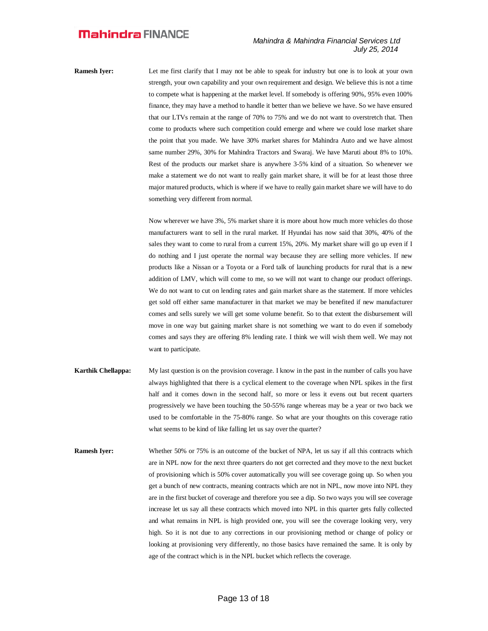**Ramesh Iyer:** Let me first clarify that I may not be able to speak for industry but one is to look at your own strength, your own capability and your own requirement and design. We believe this is not a time to compete what is happening at the market level. If somebody is offering 90%, 95% even 100% finance, they may have a method to handle it better than we believe we have. So we have ensured that our LTVs remain at the range of 70% to 75% and we do not want to overstretch that. Then come to products where such competition could emerge and where we could lose market share the point that you made. We have 30% market shares for Mahindra Auto and we have almost same number 29%, 30% for Mahindra Tractors and Swaraj. We have Maruti about 8% to 10%. Rest of the products our market share is anywhere 3-5% kind of a situation. So whenever we make a statement we do not want to really gain market share, it will be for at least those three major matured products, which is where if we have to really gain market share we will have to do something very different from normal.

> Now wherever we have 3%, 5% market share it is more about how much more vehicles do those manufacturers want to sell in the rural market. If Hyundai has now said that 30%, 40% of the sales they want to come to rural from a current 15%, 20%. My market share will go up even if I do nothing and I just operate the normal way because they are selling more vehicles. If new products like a Nissan or a Toyota or a Ford talk of launching products for rural that is a new addition of LMV, which will come to me, so we will not want to change our product offerings. We do not want to cut on lending rates and gain market share as the statement. If more vehicles get sold off either same manufacturer in that market we may be benefited if new manufacturer comes and sells surely we will get some volume benefit. So to that extent the disbursement will move in one way but gaining market share is not something we want to do even if somebody comes and says they are offering 8% lending rate. I think we will wish them well. We may not want to participate.

- **Karthik Chellappa:** My last question is on the provision coverage. I know in the past in the number of calls you have always highlighted that there is a cyclical element to the coverage when NPL spikes in the first half and it comes down in the second half, so more or less it evens out but recent quarters progressively we have been touching the 50-55% range whereas may be a year or two back we used to be comfortable in the 75-80% range. So what are your thoughts on this coverage ratio what seems to be kind of like falling let us say over the quarter?
- **Ramesh Iyer:** Whether 50% or 75% is an outcome of the bucket of NPA, let us say if all this contracts which are in NPL now for the next three quarters do not get corrected and they move to the next bucket of provisioning which is 50% cover automatically you will see coverage going up. So when you get a bunch of new contracts, meaning contracts which are not in NPL, now move into NPL they are in the first bucket of coverage and therefore you see a dip. So two ways you will see coverage increase let us say all these contracts which moved into NPL in this quarter gets fully collected and what remains in NPL is high provided one, you will see the coverage looking very, very high. So it is not due to any corrections in our provisioning method or change of policy or looking at provisioning very differently, no those basics have remained the same. It is only by age of the contract which is in the NPL bucket which reflects the coverage.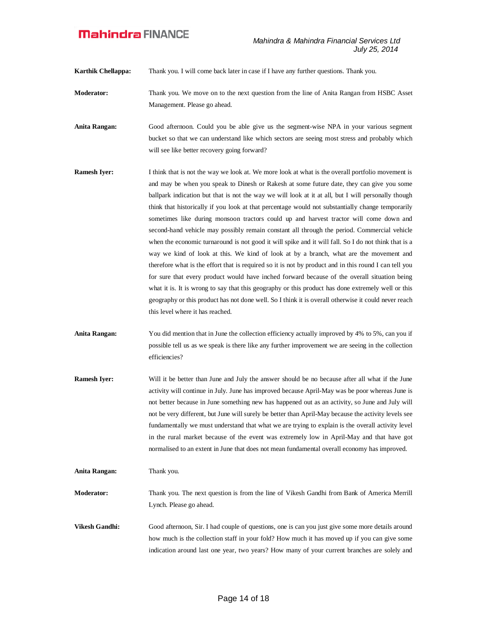**Karthik Chellappa:** Thank you. I will come back later in case if I have any further questions. Thank you.

- **Moderator:** Thank you. We move on to the next question from the line of Anita Rangan from HSBC Asset Management. Please go ahead.
- **Anita Rangan:** Good afternoon. Could you be able give us the segment-wise NPA in your various segment bucket so that we can understand like which sectors are seeing most stress and probably which will see like better recovery going forward?
- **Ramesh Iyer:** I think that is not the way we look at. We more look at what is the overall portfolio movement is and may be when you speak to Dinesh or Rakesh at some future date, they can give you some ballpark indication but that is not the way we will look at it at all, but I will personally though think that historically if you look at that percentage would not substantially change temporarily sometimes like during monsoon tractors could up and harvest tractor will come down and second-hand vehicle may possibly remain constant all through the period. Commercial vehicle when the economic turnaround is not good it will spike and it will fall. So I do not think that is a way we kind of look at this. We kind of look at by a branch, what are the movement and therefore what is the effort that is required so it is not by product and in this round I can tell you for sure that every product would have inched forward because of the overall situation being what it is. It is wrong to say that this geography or this product has done extremely well or this geography or this product has not done well. So I think it is overall otherwise it could never reach this level where it has reached.
- **Anita Rangan:** You did mention that in June the collection efficiency actually improved by 4% to 5%, can you if possible tell us as we speak is there like any further improvement we are seeing in the collection efficiencies?
- **Ramesh Iver:** Will it be better than June and July the answer should be no because after all what if the June activity will continue in July. June has improved because April-May was be poor whereas June is not better because in June something new has happened out as an activity, so June and July will not be very different, but June will surely be better than April-May because the activity levels see fundamentally we must understand that what we are trying to explain is the overall activity level in the rural market because of the event was extremely low in April-May and that have got normalised to an extent in June that does not mean fundamental overall economy has improved.
- **Anita Rangan:** Thank you. **Moderator:** Thank you. The next question is from the line of Vikesh Gandhi from Bank of America Merrill Lynch. Please go ahead.
	- **Vikesh Gandhi:** Good afternoon, Sir. I had couple of questions, one is can you just give some more details around how much is the collection staff in your fold? How much it has moved up if you can give some indication around last one year, two years? How many of your current branches are solely and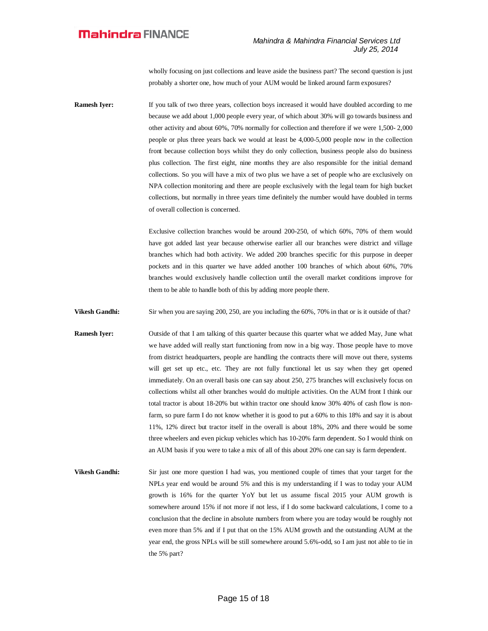wholly focusing on just collections and leave aside the business part? The second question is just probably a shorter one, how much of your AUM would be linked around farm exposures?

**Ramesh Iyer:** If you talk of two three years, collection boys increased it would have doubled according to me because we add about 1,000 people every year, of which about 30% will go towards business and other activity and about 60%, 70% normally for collection and therefore if we were 1,500- 2,000 people or plus three years back we would at least be 4,000-5,000 people now in the collection front because collection boys whilst they do only collection, business people also do business plus collection. The first eight, nine months they are also responsible for the initial demand collections. So you will have a mix of two plus we have a set of people who are exclusively on NPA collection monitoring and there are people exclusively with the legal team for high bucket collections, but normally in three years time definitely the number would have doubled in terms of overall collection is concerned.

> Exclusive collection branches would be around 200-250, of which 60%, 70% of them would have got added last year because otherwise earlier all our branches were district and village branches which had both activity. We added 200 branches specific for this purpose in deeper pockets and in this quarter we have added another 100 branches of which about 60%, 70% branches would exclusively handle collection until the overall market conditions improve for them to be able to handle both of this by adding more people there.

**Vikesh Gandhi:** Sir when you are saying 200, 250, are you including the 60%, 70% in that or is it outside of that?

**Ramesh Iyer:** Outside of that I am talking of this quarter because this quarter what we added May, June what we have added will really start functioning from now in a big way. Those people have to move from district headquarters, people are handling the contracts there will move out there, systems will get set up etc., etc. They are not fully functional let us say when they get opened immediately. On an overall basis one can say about 250, 275 branches will exclusively focus on collections whilst all other branches would do multiple activities. On the AUM front I think our total tractor is about 18-20% but within tractor one should know 30% 40% of cash flow is nonfarm, so pure farm I do not know whether it is good to put a 60% to this 18% and say it is about 11%, 12% direct but tractor itself in the overall is about 18%, 20% and there would be some three wheelers and even pickup vehicles which has 10-20% farm dependent. So I would think on an AUM basis if you were to take a mix of all of this about 20% one can say is farm dependent.

**Vikesh Gandhi:** Sir just one more question I had was, you mentioned couple of times that your target for the NPLs year end would be around 5% and this is my understanding if I was to today your AUM growth is 16% for the quarter YoY but let us assume fiscal 2015 your AUM growth is somewhere around 15% if not more if not less, if I do some backward calculations, I come to a conclusion that the decline in absolute numbers from where you are today would be roughly not even more than 5% and if I put that on the 15% AUM growth and the outstanding AUM at the year end, the gross NPLs will be still somewhere around 5.6%-odd, so I am just not able to tie in the 5% part?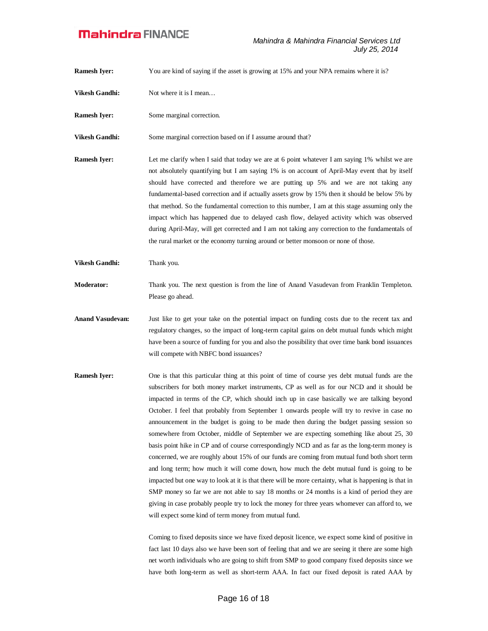**Ramesh Iyer:** You are kind of saying if the asset is growing at 15% and your NPA remains where it is?

- **Vikesh Gandhi:** Not where it is I mean...
- **Ramesh Iyer:** Some marginal correction.

**Vikesh Gandhi:** Some marginal correction based on if I assume around that?

**Ramesh Iver:** Let me clarify when I said that today we are at 6 point whatever I am saying 1% whilst we are not absolutely quantifying but I am saying 1% is on account of April-May event that by itself should have corrected and therefore we are putting up 5% and we are not taking any fundamental-based correction and if actually assets grow by 15% then it should be below 5% by that method. So the fundamental correction to this number, I am at this stage assuming only the impact which has happened due to delayed cash flow, delayed activity which was observed during April-May, will get corrected and I am not taking any correction to the fundamentals of the rural market or the economy turning around or better monsoon or none of those.

**Vikesh Gandhi:** Thank you.

**Moderator:** Thank you. The next question is from the line of Anand Vasudevan from Franklin Templeton. Please go ahead.

- **Anand Vasudevan:** Just like to get your take on the potential impact on funding costs due to the recent tax and regulatory changes, so the impact of long-term capital gains on debt mutual funds which might have been a source of funding for you and also the possibility that over time bank bond issuances will compete with NBFC bond issuances?
- **Ramesh Iyer:** One is that this particular thing at this point of time of course yes debt mutual funds are the subscribers for both money market instruments, CP as well as for our NCD and it should be impacted in terms of the CP, which should inch up in case basically we are talking beyond October. I feel that probably from September 1 onwards people will try to revive in case no announcement in the budget is going to be made then during the budget passing session so somewhere from October, middle of September we are expecting something like about 25, 30 basis point hike in CP and of course correspondingly NCD and as far as the long-term money is concerned, we are roughly about 15% of our funds are coming from mutual fund both short term and long term; how much it will come down, how much the debt mutual fund is going to be impacted but one way to look at it is that there will be more certainty, what is happening is that in SMP money so far we are not able to say 18 months or 24 months is a kind of period they are giving in case probably people try to lock the money for three years whomever can afford to, we will expect some kind of term money from mutual fund.

Coming to fixed deposits since we have fixed deposit licence, we expect some kind of positive in fact last 10 days also we have been sort of feeling that and we are seeing it there are some high net worth individuals who are going to shift from SMP to good company fixed deposits since we have both long-term as well as short-term AAA. In fact our fixed deposit is rated AAA by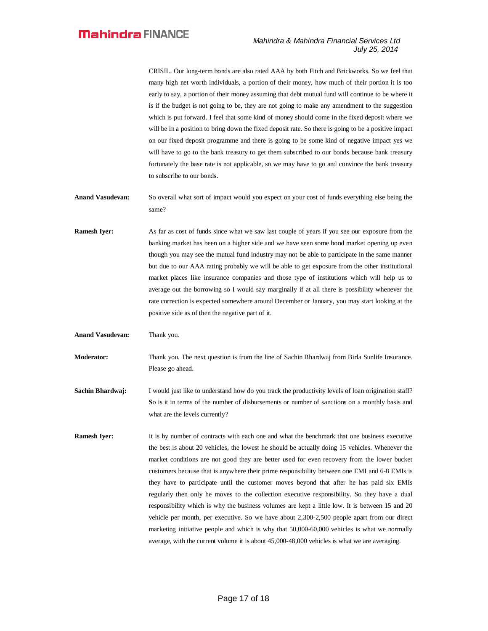CRISIL. Our long-term bonds are also rated AAA by both Fitch and Brickworks. So we feel that many high net worth individuals, a portion of their money, how much of their portion it is too early to say, a portion of their money assuming that debt mutual fund will continue to be where it is if the budget is not going to be, they are not going to make any amendment to the suggestion which is put forward. I feel that some kind of money should come in the fixed deposit where we will be in a position to bring down the fixed deposit rate. So there is going to be a positive impact on our fixed deposit programme and there is going to be some kind of negative impact yes we will have to go to the bank treasury to get them subscribed to our bonds because bank treasury fortunately the base rate is not applicable, so we may have to go and convince the bank treasury to subscribe to our bonds.

- **Anand Vasudevan:** So overall what sort of impact would you expect on your cost of funds everything else being the same?
- **Ramesh Iyer:** As far as cost of funds since what we saw last couple of years if you see our exposure from the banking market has been on a higher side and we have seen some bond market opening up even though you may see the mutual fund industry may not be able to participate in the same manner but due to our AAA rating probably we will be able to get exposure from the other institutional market places like insurance companies and those type of institutions which will help us to average out the borrowing so I would say marginally if at all there is possibility whenever the rate correction is expected somewhere around December or January, you may start looking at the positive side as of then the negative part of it.
- **Anand Vasudevan:** Thank you.

**Moderator:** Thank you. The next question is from the line of Sachin Bhardwaj from Birla Sunlife Insurance. Please go ahead.

- **Sachin Bhardwaj:** I would just like to understand how do you track the productivity levels of loan origination staff? **S**o is it in terms of the number of disbursements or number of sanctions on a monthly basis and what are the levels currently?
- **Ramesh Iyer:** It is by number of contracts with each one and what the benchmark that one business executive the best is about 20 vehicles, the lowest he should be actually doing 15 vehicles. Whenever the market conditions are not good they are better used for even recovery from the lower bucket customers because that is anywhere their prime responsibility between one EMI and 6-8 EMIs is they have to participate until the customer moves beyond that after he has paid six EMIs regularly then only he moves to the collection executive responsibility. So they have a dual responsibility which is why the business volumes are kept a little low. It is between 15 and 20 vehicle per month, per executive. So we have about 2,300-2,500 people apart from our direct marketing initiative people and which is why that 50,000-60,000 vehicles is what we normally average, with the current volume it is about 45,000-48,000 vehicles is what we are averaging.